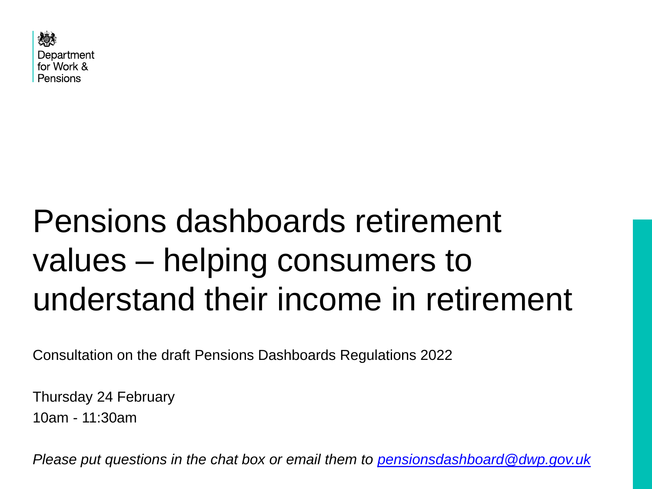

# Pensions dashboards retirement values – helping consumers to understand their income in retirement

Consultation on the draft Pensions Dashboards Regulations 2022

Thursday 24 February 10am - 11:30am

*Please put questions in the chat box or email them to [pensionsdashboard@dwp.gov.uk](mailto:pensionsdashboard@dwp.gov.uk)*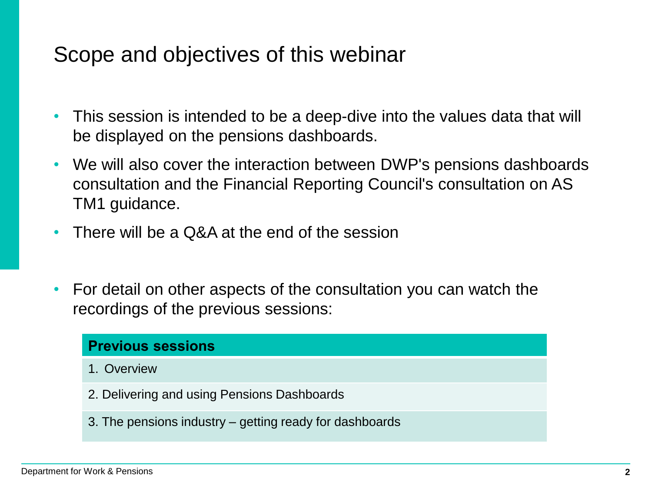### Scope and objectives of this webinar

- This session is intended to be a deep-dive into the values data that will be displayed on the pensions dashboards.
- We will also cover the interaction between DWP's pensions dashboards consultation and the Financial Reporting Council's consultation on AS TM1 guidance.
- There will be a Q&A at the end of the session
- For detail on other aspects of the consultation you can watch the recordings of the previous sessions:

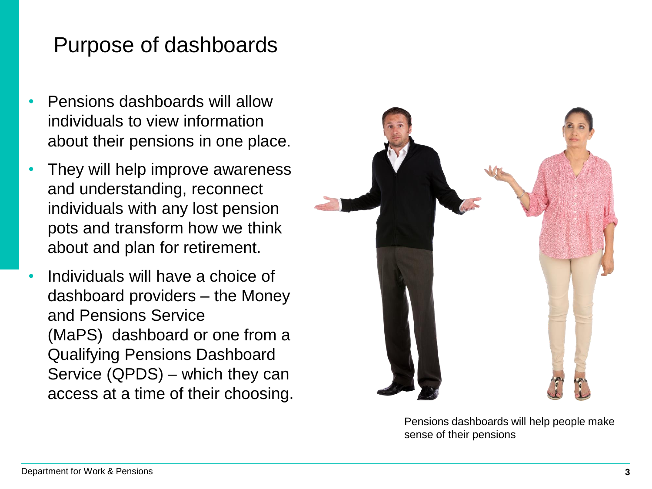### Purpose of dashboards

- Pensions dashboards will allow individuals to view information about their pensions in one place.
- They will help improve awareness and understanding, reconnect individuals with any lost pension pots and transform how we think about and plan for retirement.
- Individuals will have a choice of dashboard providers – the Money and Pensions Service (MaPS) dashboard or one from a Qualifying Pensions Dashboard Service (QPDS) – which they can access at a time of their choosing.



Pensions dashboards will help people make sense of their pensions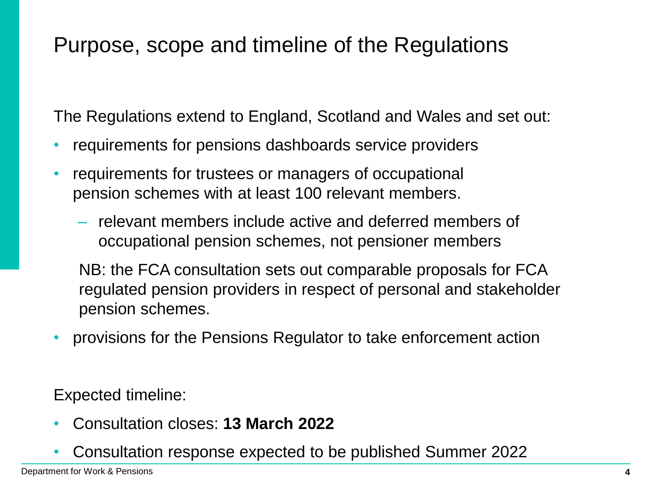### Purpose, scope and timeline of the Regulations

The Regulations extend to England, Scotland and Wales and set out:

- requirements for pensions dashboards service providers
- requirements for trustees or managers of occupational pension schemes with at least 100 relevant members.
	- relevant members include active and deferred members of occupational pension schemes, not pensioner members

NB: the FCA consultation sets out comparable proposals for FCA regulated pension providers in respect of personal and stakeholder pension schemes.

• provisions for the Pensions Regulator to take enforcement action

Expected timeline:

- Consultation closes: **13 March 2022**
- Consultation response expected to be published Summer 2022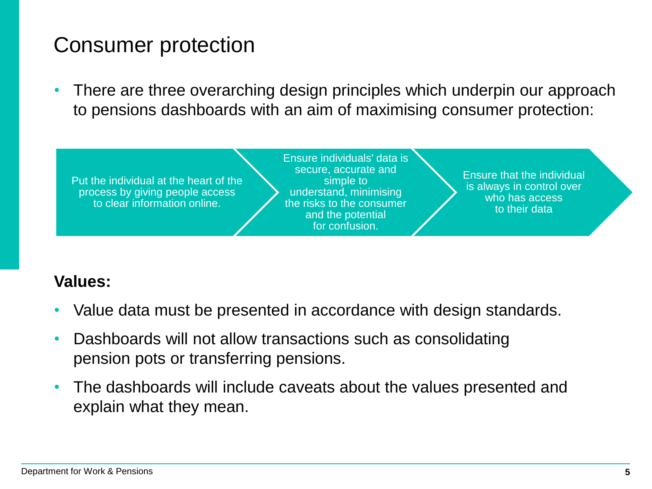### Consumer protection

• There are three overarching design principles which underpin our approach to pensions dashboards with an aim of maximising consumer protection:



### **Values:**

- Value data must be presented in accordance with design standards.
- Dashboards will not allow transactions such as consolidating pension pots or transferring pensions.
- The dashboards will include caveats about the values presented and explain what they mean.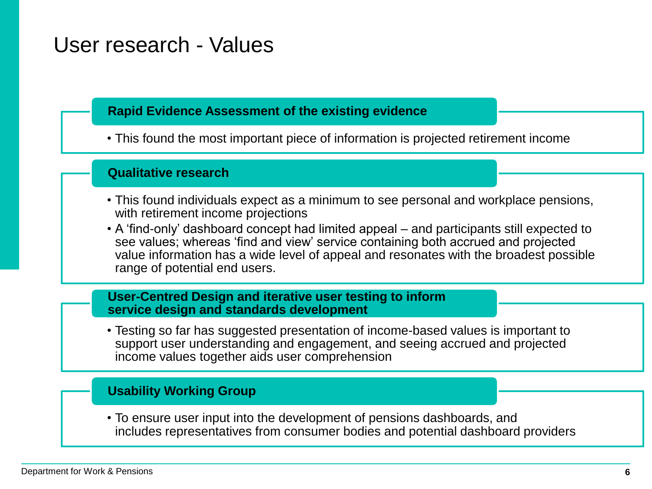### User research - Values

#### **Rapid Evidence Assessment of the existing evidence**

• This found the most important piece of information is projected retirement income

#### **Qualitative research**

- This found individuals expect as a minimum to see personal and workplace pensions, with retirement income projections
- A 'find-only' dashboard concept had limited appeal and participants still expected to see values; whereas 'find and view' service containing both accrued and projected value information has a wide level of appeal and resonates with the broadest possible range of potential end users.

#### **User-Centred Design and iterative user testing to inform service design and standards development**

• Testing so far has suggested presentation of income-based values is important to support user understanding and engagement, and seeing accrued and projected income values together aids user comprehension

#### **Usability Working Group**

• To ensure user input into the development of pensions dashboards, and includes representatives from consumer bodies and potential dashboard providers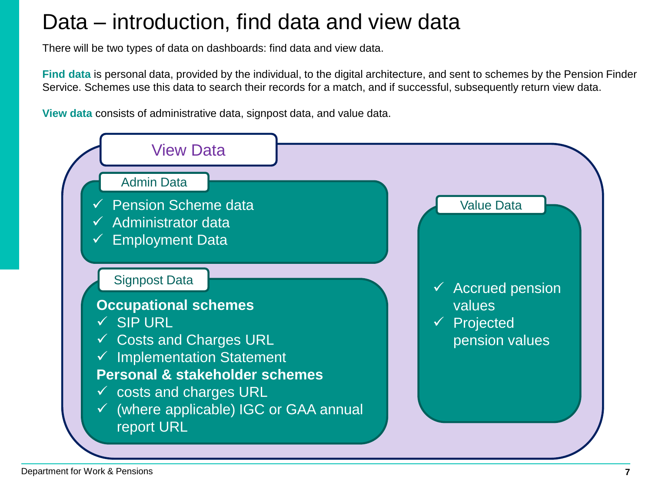### Data – introduction, find data and view data

There will be two types of data on dashboards: find data and view data.

**Find data** is personal data, provided by the individual, to the digital architecture, and sent to schemes by the Pension Finder Service. Schemes use this data to search their records for a match, and if successful, subsequently return view data.

**View data** consists of administrative data, signpost data, and value data.

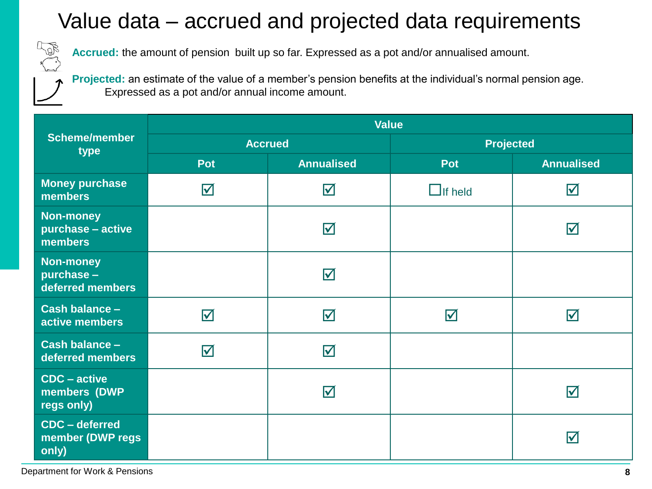# Value data – accrued and projected data requirements

**Accrued:** the amount of pension built up so far. Expressed as a pot and/or annualised amount.

**Projected:** an estimate of the value of a member's pension benefits at the individual's normal pension age. Expressed as a pot and/or annual income amount.

| <b>Scheme/member</b><br>type                       | <b>Value</b>            |                         |                         |                         |
|----------------------------------------------------|-------------------------|-------------------------|-------------------------|-------------------------|
|                                                    | <b>Accrued</b>          |                         | <b>Projected</b>        |                         |
|                                                    | <b>Pot</b>              | <b>Annualised</b>       | Pot                     | <b>Annualised</b>       |
| <b>Money purchase</b><br>members                   | $\overline{\mathbf{M}}$ | $\Delta$                | $\Box$ If held          | $\boxtimes$             |
| <b>Non-money</b><br>purchase - active<br>members   |                         | $\Delta$                |                         | $\overline{\mathsf{M}}$ |
| <b>Non-money</b><br>purchase -<br>deferred members |                         | $\overline{\mathsf{M}}$ |                         |                         |
| Cash balance -<br>active members                   | $\overline{\mathsf{M}}$ | ☑                       | $\overline{\mathsf{M}}$ | ☑                       |
| Cash balance -<br>deferred members                 | $\overline{\mathsf{M}}$ | $\blacktriangledown$    |                         |                         |
| $CDC - active$<br>members (DWP<br>regs only)       |                         | $\overline{\mathsf{M}}$ |                         | $\bm{\nabla}$           |
| CDC - deferred<br>member (DWP regs<br>only)        |                         |                         |                         | M                       |

Department for Work & Pensions **8**

A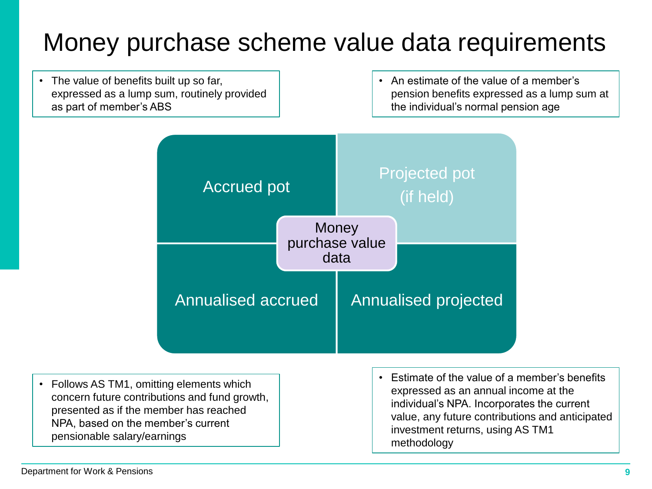# Money purchase scheme value data requirements

• The value of benefits built up so far, expressed as a lump sum, routinely provided as part of member's ABS

• An estimate of the value of a member's pension benefits expressed as a lump sum at the individual's normal pension age



• Follows AS TM1, omitting elements which concern future contributions and fund growth, presented as if the member has reached NPA, based on the member's current pensionable salary/earnings

• Estimate of the value of a member's benefits expressed as an annual income at the individual's NPA. Incorporates the current value, any future contributions and anticipated investment returns, using AS TM1 methodology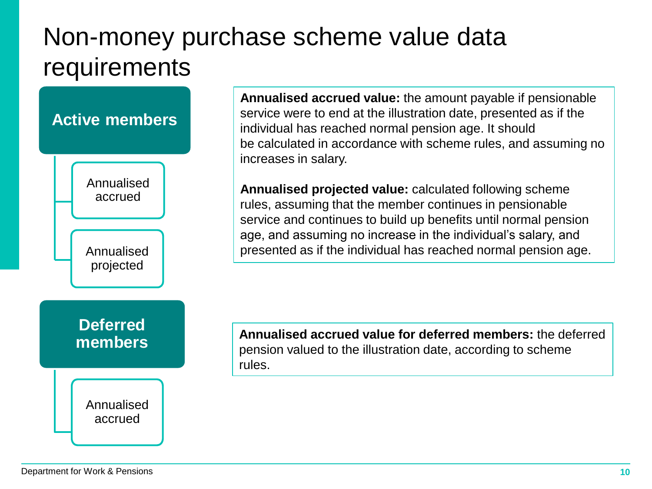# Non-money purchase scheme value data requirements



**Annualised accrued value:** the amount payable if pensionable service were to end at the illustration date, presented as if the individual has reached normal pension age. It should be calculated in accordance with scheme rules, and assuming no increases in salary.

**Annualised projected value:** calculated following scheme rules, assuming that the member continues in pensionable service and continues to build up benefits until normal pension age, and assuming no increase in the individual's salary, and presented as if the individual has reached normal pension age.

**Annualised accrued value for deferred members:** the deferred pension valued to the illustration date, according to scheme rules.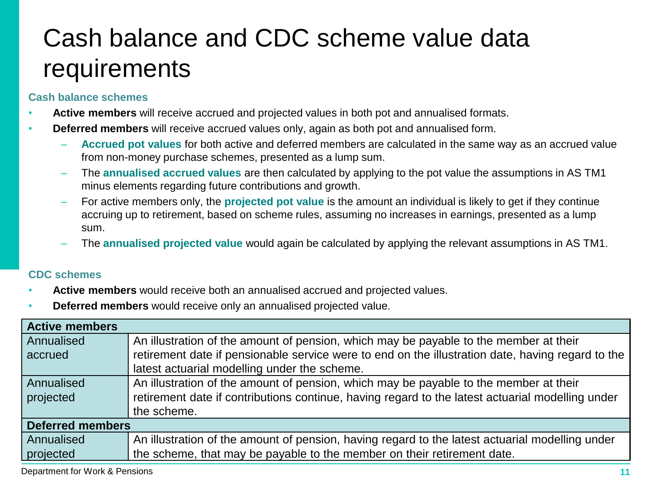# Cash balance and CDC scheme value data requirements

#### **Cash balance schemes**

- **Active members** will receive accrued and projected values in both pot and annualised formats.
- **Deferred members** will receive accrued values only, again as both pot and annualised form.
	- **Accrued pot values** for both active and deferred members are calculated in the same way as an accrued value from non-money purchase schemes, presented as a lump sum.
	- The **annualised accrued values** are then calculated by applying to the pot value the assumptions in AS TM1 minus elements regarding future contributions and growth.
	- For active members only, the **projected pot value** is the amount an individual is likely to get if they continue accruing up to retirement, based on scheme rules, assuming no increases in earnings, presented as a lump sum.
	- The **annualised projected value** would again be calculated by applying the relevant assumptions in AS TM1.

#### **CDC schemes**

- **Active members** would receive both an annualised accrued and projected values.
- **Deferred members** would receive only an annualised projected value.

| <b>Active members</b>   |                                                                                                   |  |  |
|-------------------------|---------------------------------------------------------------------------------------------------|--|--|
| Annualised              | An illustration of the amount of pension, which may be payable to the member at their             |  |  |
| accrued                 | retirement date if pensionable service were to end on the illustration date, having regard to the |  |  |
|                         | latest actuarial modelling under the scheme.                                                      |  |  |
| Annualised              | An illustration of the amount of pension, which may be payable to the member at their             |  |  |
| projected               | retirement date if contributions continue, having regard to the latest actuarial modelling under  |  |  |
|                         | the scheme.                                                                                       |  |  |
| <b>Deferred members</b> |                                                                                                   |  |  |
| Annualised              | An illustration of the amount of pension, having regard to the latest actuarial modelling under   |  |  |
| projected               | the scheme, that may be payable to the member on their retirement date.                           |  |  |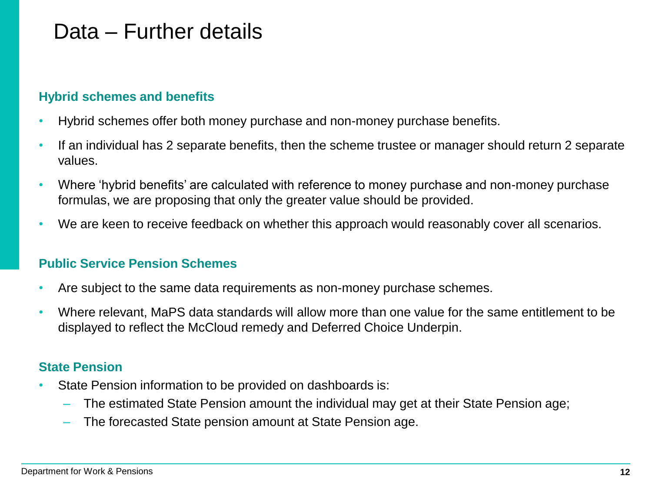### Data – Further details

#### **Hybrid schemes and benefits**

- Hybrid schemes offer both money purchase and non-money purchase benefits.
- If an individual has 2 separate benefits, then the scheme trustee or manager should return 2 separate values.
- Where 'hybrid benefits' are calculated with reference to money purchase and non-money purchase formulas, we are proposing that only the greater value should be provided.
- We are keen to receive feedback on whether this approach would reasonably cover all scenarios.

#### **Public Service Pension Schemes**

- Are subject to the same data requirements as non-money purchase schemes.
- Where relevant, MaPS data standards will allow more than one value for the same entitlement to be displayed to reflect the McCloud remedy and Deferred Choice Underpin.

#### **State Pension**

- State Pension information to be provided on dashboards is:
	- The estimated State Pension amount the individual may get at their State Pension age;
	- The forecasted State pension amount at State Pension age.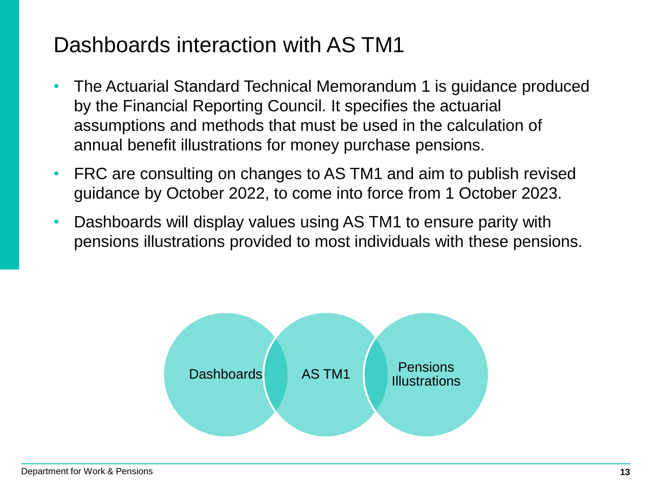### Dashboards interaction with AS TM1

- The Actuarial Standard Technical Memorandum 1 is guidance produced by the Financial Reporting Council. It specifies the actuarial assumptions and methods that must be used in the calculation of annual benefit illustrations for money purchase pensions.
- FRC are consulting on changes to AS TM1 and aim to publish revised guidance by October 2022, to come into force from 1 October 2023.
- Dashboards will display values using AS TM1 to ensure parity with pensions illustrations provided to most individuals with these pensions.

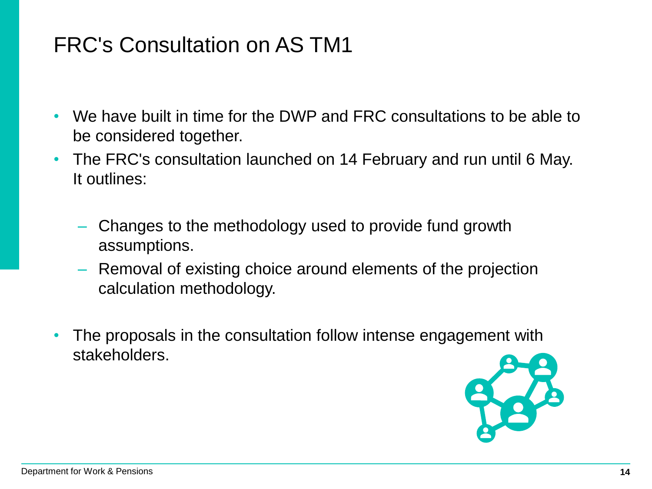### FRC's Consultation on AS TM1

- We have built in time for the DWP and FRC consultations to be able to be considered together.
- The FRC's consultation launched on 14 February and run until 6 May. It outlines:
	- Changes to the methodology used to provide fund growth assumptions.
	- Removal of existing choice around elements of the projection calculation methodology.
- The proposals in the consultation follow intense engagement with stakeholders.

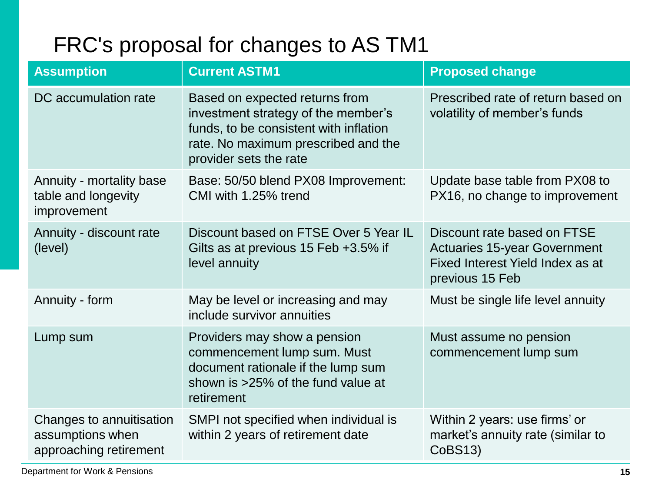# FRC's proposal for changes to AS TM1

| <b>Assumption</b>                                                      | <b>Current ASTM1</b>                                                                                                                                                             | <b>Proposed change</b>                                                                                                    |
|------------------------------------------------------------------------|----------------------------------------------------------------------------------------------------------------------------------------------------------------------------------|---------------------------------------------------------------------------------------------------------------------------|
| DC accumulation rate                                                   | Based on expected returns from<br>investment strategy of the member's<br>funds, to be consistent with inflation<br>rate. No maximum prescribed and the<br>provider sets the rate | Prescribed rate of return based on<br>volatility of member's funds                                                        |
| Annuity - mortality base<br>table and longevity<br>improvement         | Base: 50/50 blend PX08 Improvement:<br>CMI with 1.25% trend                                                                                                                      | Update base table from PX08 to<br>PX16, no change to improvement                                                          |
| Annuity - discount rate<br>(level)                                     | Discount based on FTSE Over 5 Year IL<br>Gilts as at previous 15 Feb +3.5% if<br>level annuity                                                                                   | Discount rate based on FTSE<br><b>Actuaries 15-year Government</b><br>Fixed Interest Yield Index as at<br>previous 15 Feb |
| Annuity - form                                                         | May be level or increasing and may<br>include survivor annuities                                                                                                                 | Must be single life level annuity                                                                                         |
| Lump sum                                                               | Providers may show a pension<br>commencement lump sum. Must<br>document rationale if the lump sum<br>shown is >25% of the fund value at<br>retirement                            | Must assume no pension<br>commencement lump sum                                                                           |
| Changes to annuitisation<br>assumptions when<br>approaching retirement | SMPI not specified when individual is<br>within 2 years of retirement date                                                                                                       | Within 2 years: use firms' or<br>market's annuity rate (similar to<br>CoBS13)                                             |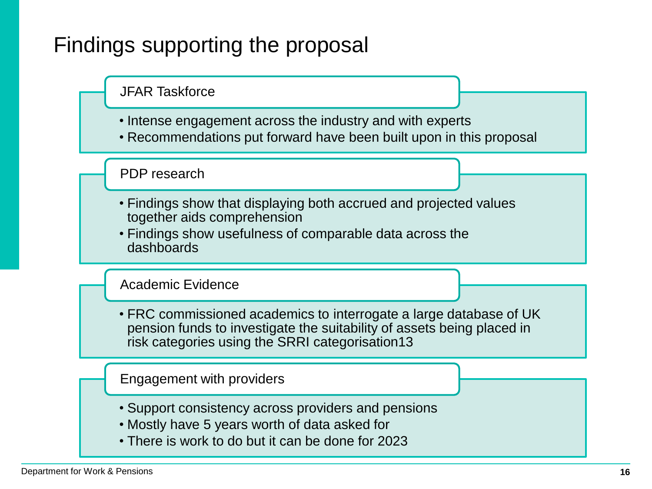# Findings supporting the proposal



- Intense engagement across the industry and with experts
- Recommendations put forward have been built upon in this proposal

PDP research

- Findings show that displaying both accrued and projected values together aids comprehension
- Findings show usefulness of comparable data across the dashboards

Academic Evidence

• FRC commissioned academics to interrogate a large database of UK pension funds to investigate the suitability of assets being placed in risk categories using the SRRI categorisation13

Engagement with providers

- Support consistency across providers and pensions
- Mostly have 5 years worth of data asked for
- There is work to do but it can be done for 2023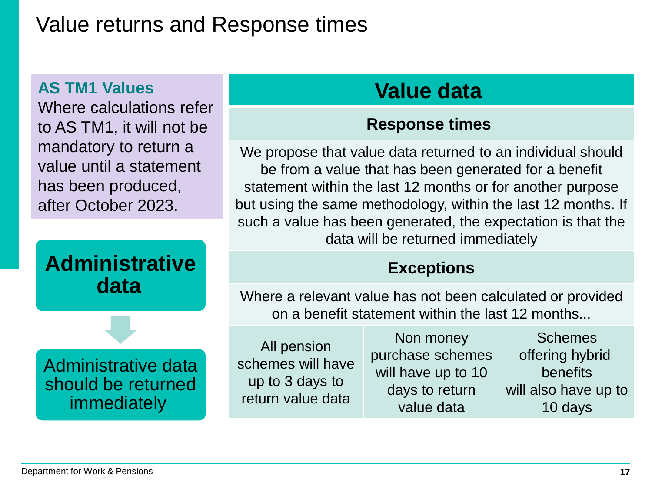### Value returns and Response times

### **AS TM1 Values**

Where calculations refer to AS TM1, it will not be mandatory to return a value until a statement has been produced, after October 2023.



### should be returned immediately

# **Value data**

### **Response times**

We propose that value data returned to an individual should be from a value that has been generated for a benefit statement within the last 12 months or for another purpose but using the same methodology, within the last 12 months. If such a value has been generated, the expectation is that the data will be returned immediately

### **Exceptions**

Where a relevant value has not been calculated or provided on a benefit statement within the last 12 months...

All pension schemes will have up to 3 days to return value data

Non money purchase schemes will have up to 10 days to return value data

Schemes offering hybrid benefits will also have up to 10 days